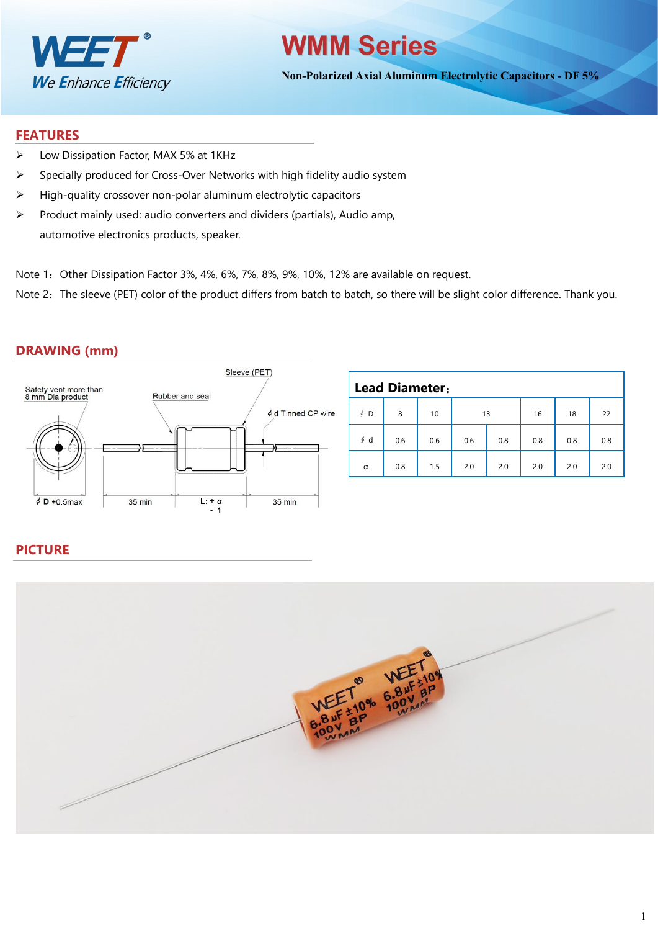

# **WMM Series**

**Non-Polarized Axial Aluminum Electrolytic Capacitors - DF 5%**

#### **FEATURES**

- Low Dissipation Factor, MAX 5% at 1KHz
- $\triangleright$  Specially produced for Cross-Over Networks with high fidelity audio system
- $\triangleright$  High-quality crossover non-polar aluminum electrolytic capacitors
- $\triangleright$  Product mainly used: audio converters and dividers (partials), Audio amp, automotive electronics products, speaker.
- Note 1: Other Dissipation Factor 3%, 4%, 6%, 7%, 8%, 9%, 10%, 12% are available on request.

Note 2: The sleeve (PET) color of the product differs from batch to batch, so there will be slight color difference. Thank you.

## **DRAWING (mm)**



|           | <b>Lead Diameter:</b> |     |     |     |     |     |     |  |  |  |  |  |
|-----------|-----------------------|-----|-----|-----|-----|-----|-----|--|--|--|--|--|
| $\oint$ D | 8                     | 10  | 13  |     | 16  | 18  | 22  |  |  |  |  |  |
| $\oint d$ | 0.6                   | 0.6 | 0.6 | 0.8 | 0.8 | 0.8 | 0.8 |  |  |  |  |  |
| $\alpha$  | 0.8                   | 1.5 | 2.0 | 2.0 | 2.0 | 2.0 | 2.0 |  |  |  |  |  |

## **PICTURE**